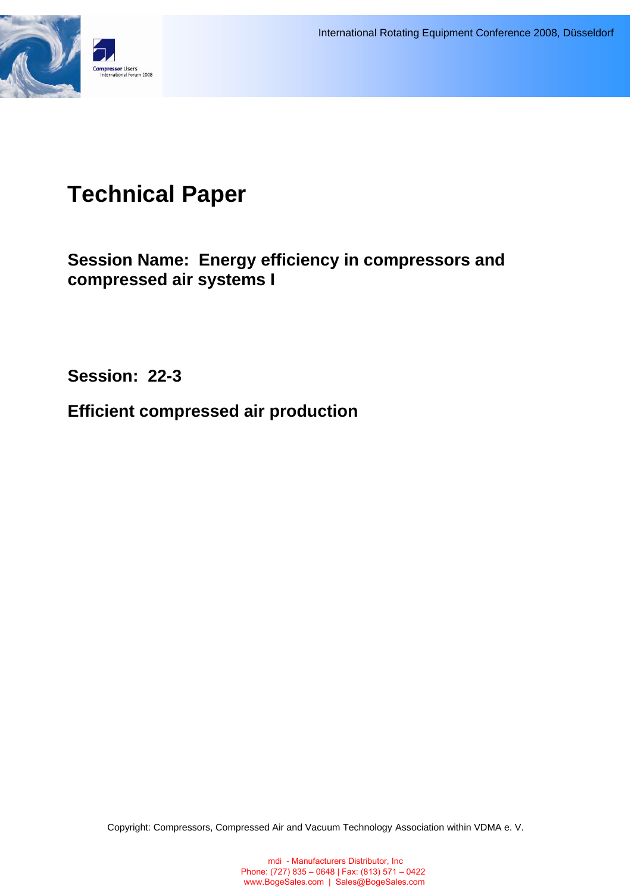

# **Technical Paper**

**Session Name: Energy efficiency in compressors and compressed air systems I**

**Session: 22-3** 

**Efficient compressed air production** 

Copyright: Compressors, Compressed Air and Vacuum Technology Association within VDMA e. V.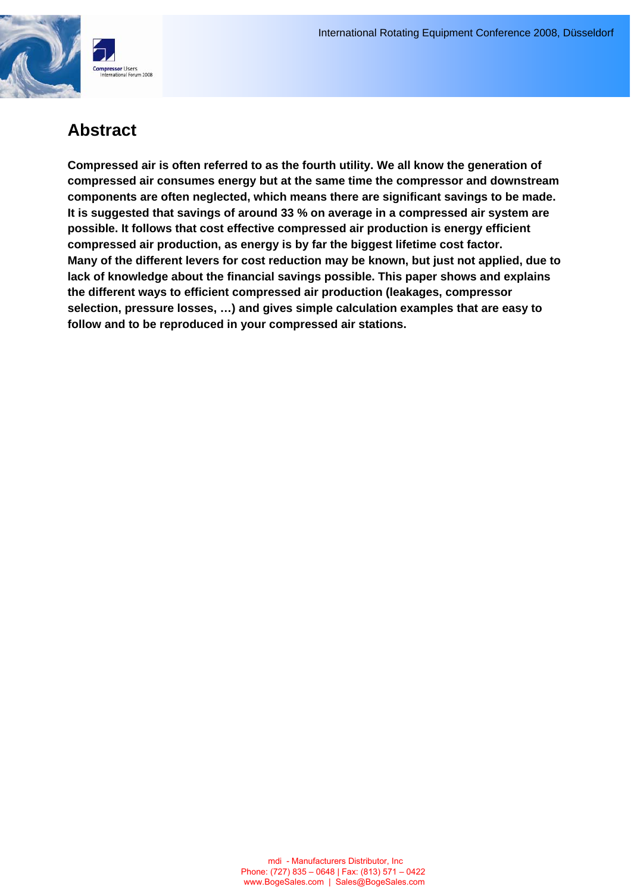

# **Abstract**

**Compressed air is often referred to as the fourth utility. We all know the generation of compressed air consumes energy but at the same time the compressor and downstream components are often neglected, which means there are significant savings to be made. It is suggested that savings of around 33 % on average in a compressed air system are possible. It follows that cost effective compressed air production is energy efficient compressed air production, as energy is by far the biggest lifetime cost factor. Many of the different levers for cost reduction may be known, but just not applied, due to lack of knowledge about the financial savings possible. This paper shows and explains the different ways to efficient compressed air production (leakages, compressor selection, pressure losses, …) and gives simple calculation examples that are easy to follow and to be reproduced in your compressed air stations.**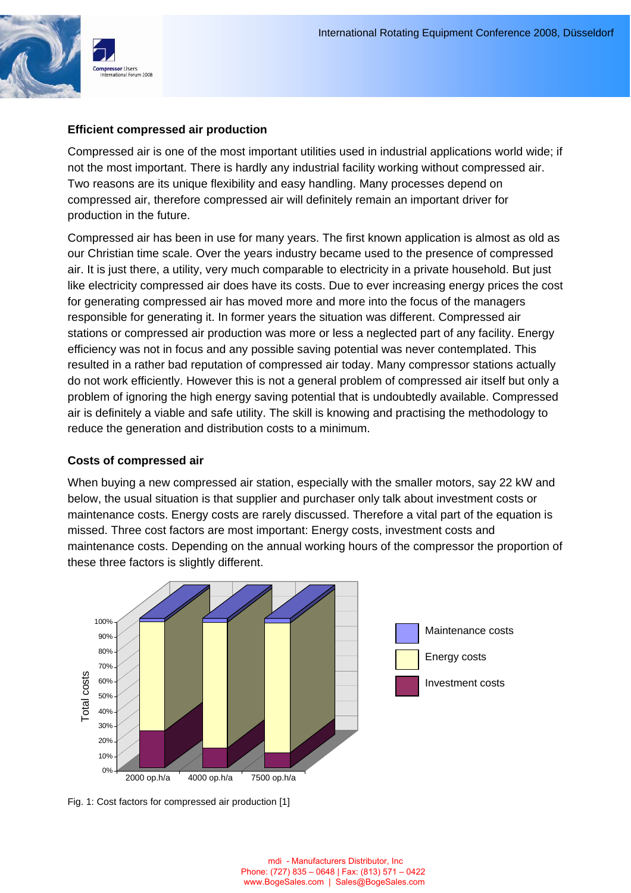

#### **Efficient compressed air production**

Compressed air is one of the most important utilities used in industrial applications world wide; if not the most important. There is hardly any industrial facility working without compressed air. Two reasons are its unique flexibility and easy handling. Many processes depend on compressed air, therefore compressed air will definitely remain an important driver for production in the future.

Compressed air has been in use for many years. The first known application is almost as old as our Christian time scale. Over the years industry became used to the presence of compressed air. It is just there, a utility, very much comparable to electricity in a private household. But just like electricity compressed air does have its costs. Due to ever increasing energy prices the cost for generating compressed air has moved more and more into the focus of the managers responsible for generating it. In former years the situation was different. Compressed air stations or compressed air production was more or less a neglected part of any facility. Energy efficiency was not in focus and any possible saving potential was never contemplated. This resulted in a rather bad reputation of compressed air today. Many compressor stations actually do not work efficiently. However this is not a general problem of compressed air itself but only a problem of ignoring the high energy saving potential that is undoubtedly available. Compressed air is definitely a viable and safe utility. The skill is knowing and practising the methodology to reduce the generation and distribution costs to a minimum.

#### **Costs of compressed air**

When buying a new compressed air station, especially with the smaller motors, say 22 kW and below, the usual situation is that supplier and purchaser only talk about investment costs or maintenance costs. Energy costs are rarely discussed. Therefore a vital part of the equation is missed. Three cost factors are most important: Energy costs, investment costs and maintenance costs. Depending on the annual working hours of the compressor the proportion of these three factors is slightly different.



Fig. 1: Cost factors for compressed air production [1]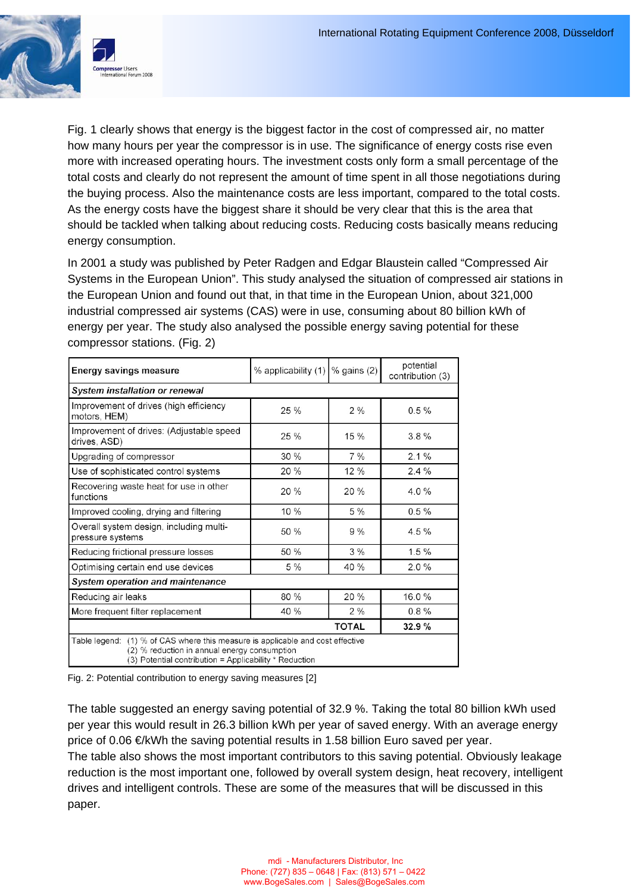

Fig. 1 clearly shows that energy is the biggest factor in the cost of compressed air, no matter how many hours per year the compressor is in use. The significance of energy costs rise even more with increased operating hours. The investment costs only form a small percentage of the total costs and clearly do not represent the amount of time spent in all those negotiations during the buying process. Also the maintenance costs are less important, compared to the total costs. As the energy costs have the biggest share it should be very clear that this is the area that should be tackled when talking about reducing costs. Reducing costs basically means reducing energy consumption.

In 2001 a study was published by Peter Radgen and Edgar Blaustein called "Compressed Air Systems in the European Union". This study analysed the situation of compressed air stations in the European Union and found out that, in that time in the European Union, about 321,000 industrial compressed air systems (CAS) were in use, consuming about 80 billion kWh of energy per year. The study also analysed the possible energy saving potential for these compressor stations. (Fig. 2)

| <b>Energy savings measure</b>                                                                                                                                                            | % applicability (1)   % gains (2) |              | potential<br>contribution (3) |  |
|------------------------------------------------------------------------------------------------------------------------------------------------------------------------------------------|-----------------------------------|--------------|-------------------------------|--|
| <b>System installation or renewal</b>                                                                                                                                                    |                                   |              |                               |  |
| Improvement of drives (high efficiency<br>motors, HEM)                                                                                                                                   | 25%                               | $2\%$        | 0.5%                          |  |
| Improvement of drives: (Adjustable speed<br>drives, ASD)                                                                                                                                 | 25%<br>15%                        |              | 3.8%                          |  |
| Upgrading of compressor                                                                                                                                                                  | 30%                               | $7\%$        | 2.1%                          |  |
| Use of sophisticated control systems                                                                                                                                                     | 20 %                              | 12 %         | 2.4%                          |  |
| Recovering waste heat for use in other<br>functions                                                                                                                                      | 20%                               | 20%          | $4.0\%$                       |  |
| Improved cooling, drying and filtering                                                                                                                                                   | 10%                               | 5 %          | 0.5%                          |  |
| Overall system design, including multi-<br>pressure systems                                                                                                                              | 50 %                              | 9%           | 4.5%                          |  |
| Reducing frictional pressure losses                                                                                                                                                      | 50 %                              | $3\%$        | $1.5 \%$                      |  |
| Optimising certain end use devices                                                                                                                                                       | $5\%$                             | 40%          | $2.0\%$                       |  |
| <b>System operation and maintenance</b>                                                                                                                                                  |                                   |              |                               |  |
| Reducing air leaks                                                                                                                                                                       | 80 %                              | 20%          | 16.0%                         |  |
| More frequent filter replacement                                                                                                                                                         | 40 %                              | $2\%$        | 0.8%                          |  |
|                                                                                                                                                                                          |                                   | <b>TOTAL</b> | 32.9%                         |  |
| Table legend: (1) % of CAS where this measure is applicable and cost effective<br>(2) % reduction in annual energy consumption<br>(3) Potential contribution = Applicability * Reduction |                                   |              |                               |  |

Fig. 2: Potential contribution to energy saving measures [2]

The table suggested an energy saving potential of 32.9 %. Taking the total 80 billion kWh used per year this would result in 26.3 billion kWh per year of saved energy. With an average energy price of 0.06 €/kWh the saving potential results in 1.58 billion Euro saved per year. The table also shows the most important contributors to this saving potential. Obviously leakage reduction is the most important one, followed by overall system design, heat recovery, intelligent drives and intelligent controls. These are some of the measures that will be discussed in this paper.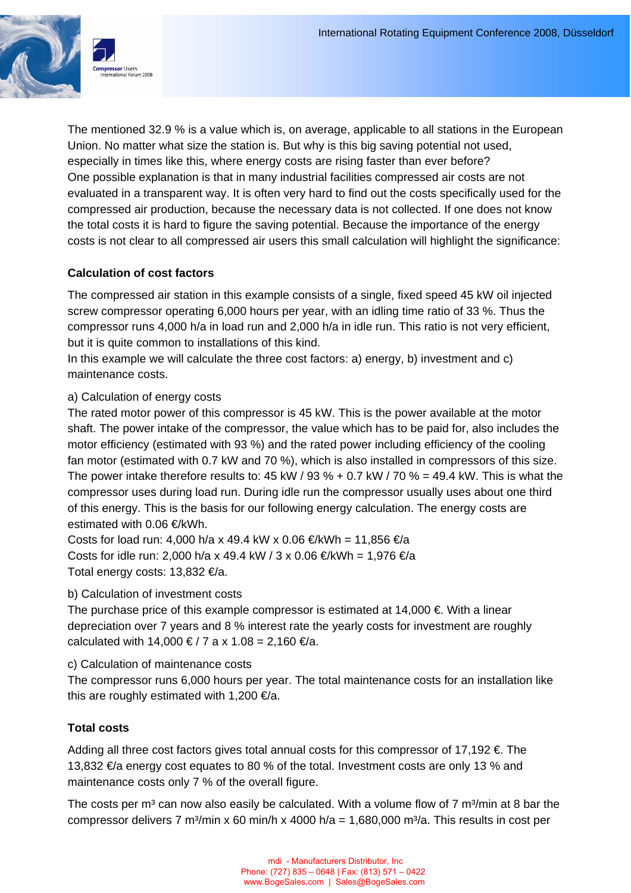

The mentioned 32.9 % is a value which is, on average, applicable to all stations in the European Union. No matter what size the station is. But why is this big saving potential not used, especially in times like this, where energy costs are rising faster than ever before? One possible explanation is that in many industrial facilities compressed air costs are not evaluated in a transparent way. It is often very hard to find out the costs specifically used for the compressed air production, because the necessary data is not collected. If one does not know the total costs it is hard to figure the saving potential. Because the importance of the energy costs is not clear to all compressed air users this small calculation will highlight the significance:

## **Calculation of cost factors**

The compressed air station in this example consists of a single, fixed speed 45 kW oil injected screw compressor operating 6,000 hours per year, with an idling time ratio of 33 %. Thus the compressor runs 4,000 h/a in load run and 2,000 h/a in idle run. This ratio is not very efficient, but it is quite common to installations of this kind.

In this example we will calculate the three cost factors: a) energy, b) investment and c) maintenance costs.

### a) Calculation of energy costs

The rated motor power of this compressor is 45 kW. This is the power available at the motor shaft. The power intake of the compressor, the value which has to be paid for, also includes the motor efficiency (estimated with 93 %) and the rated power including efficiency of the cooling fan motor (estimated with 0.7 kW and 70 %), which is also installed in compressors of this size. The power intake therefore results to: 45 kW / 93 % + 0.7 kW / 70 % = 49.4 kW. This is what the compressor uses during load run. During idle run the compressor usually uses about one third of this energy. This is the basis for our following energy calculation. The energy costs are estimated with 0.06 €/kWh.

Costs for load run: 4,000 h/a x 49.4 kW x 0.06 €/kWh = 11,856 €/a Costs for idle run: 2,000 h/a x 49.4 kW / 3 x 0.06 €/kWh = 1,976 €/a Total energy costs: 13,832 €/a.

#### b) Calculation of investment costs

The purchase price of this example compressor is estimated at  $14,000 \in \mathbb{N}$  with a linear depreciation over 7 years and 8 % interest rate the yearly costs for investment are roughly calculated with 14,000 €/7 a x 1.08 = 2,160 €/a.

c) Calculation of maintenance costs

The compressor runs 6,000 hours per year. The total maintenance costs for an installation like this are roughly estimated with 1,200  $\epsilon/a$ .

#### **Total costs**

Adding all three cost factors gives total annual costs for this compressor of 17,192  $\epsilon$ . The 13,832 €/a energy cost equates to 80 % of the total. Investment costs are only 13 % and maintenance costs only 7 % of the overall figure.

The costs per  $m<sup>3</sup>$  can now also easily be calculated. With a volume flow of 7  $m<sup>3</sup>/min$  at 8 bar the compressor delivers 7 m<sup>3</sup>/min x 60 min/h x 4000 h/a = 1,680,000 m<sup>3</sup>/a. This results in cost per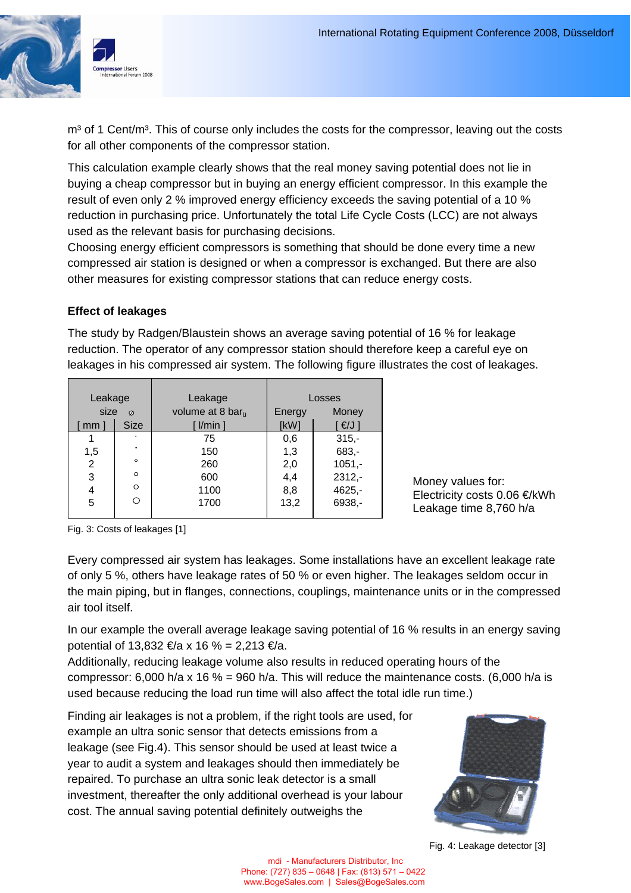

 $m<sup>3</sup>$  of 1 Cent/m<sup>3</sup>. This of course only includes the costs for the compressor, leaving out the costs for all other components of the compressor station.

This calculation example clearly shows that the real money saving potential does not lie in buying a cheap compressor but in buying an energy efficient compressor. In this example the result of even only 2 % improved energy efficiency exceeds the saving potential of a 10 % reduction in purchasing price. Unfortunately the total Life Cycle Costs (LCC) are not always used as the relevant basis for purchasing decisions.

Choosing energy efficient compressors is something that should be done every time a new compressed air station is designed or when a compressor is exchanged. But there are also other measures for existing compressor stations that can reduce energy costs.

### **Effect of leakages**

The study by Radgen/Blaustein shows an average saving potential of 16 % for leakage reduction. The operator of any compressor station should therefore keep a careful eye on leakages in his compressed air system. The following figure illustrates the cost of leakages.

| Leakage           |     |           | Leakage                      | Losses |          |
|-------------------|-----|-----------|------------------------------|--------|----------|
| size<br>$\sigma$  |     |           | volume at 8 bar <sub>n</sub> | Energy | Money    |
| <b>Size</b><br>mm |     |           | l/min                        | [kW]   | €/J ]    |
|                   |     |           | 75                           | 0,6    | $315,-$  |
|                   | 1,5 | $\bullet$ | 150                          | 1,3    | $683, -$ |
|                   | 2   | $\circ$   | 260                          | 2,0    | $1051,-$ |
|                   | 3   | $\circ$   | 600                          | 4,4    | $2312,-$ |
|                   | 4   | $\circ$   | 1100                         | 8,8    | $4625,-$ |
|                   | 5   | Ο         | 1700                         | 13,2   | 6938,-   |
|                   |     |           |                              |        |          |

Money values for: Electricity costs 0.06 €/kWh Leakage time 8,760 h/a

Fig. 3: Costs of leakages [1]

Every compressed air system has leakages. Some installations have an excellent leakage rate of only 5 %, others have leakage rates of 50 % or even higher. The leakages seldom occur in the main piping, but in flanges, connections, couplings, maintenance units or in the compressed air tool itself.

In our example the overall average leakage saving potential of 16 % results in an energy saving potential of 13,832 €/a x 16 % = 2,213 €/a.

Additionally, reducing leakage volume also results in reduced operating hours of the compressor: 6,000 h/a x 16 % = 960 h/a. This will reduce the maintenance costs. (6,000 h/a is used because reducing the load run time will also affect the total idle run time.)

Finding air leakages is not a problem, if the right tools are used, for example an ultra sonic sensor that detects emissions from a leakage (see Fig.4). This sensor should be used at least twice a year to audit a system and leakages should then immediately be repaired. To purchase an ultra sonic leak detector is a small investment, thereafter the only additional overhead is your labour cost. The annual saving potential definitely outweighs the



Fig. 4: Leakage detector [3]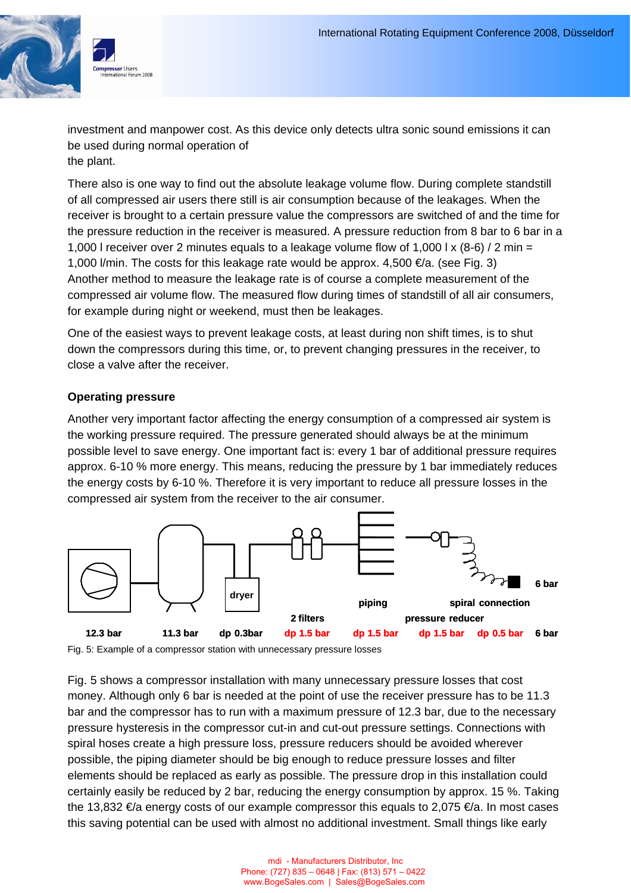

investment and manpower cost. As this device only detects ultra sonic sound emissions it can be used during normal operation of the plant.

There also is one way to find out the absolute leakage volume flow. During complete standstill of all compressed air users there still is air consumption because of the leakages. When the receiver is brought to a certain pressure value the compressors are switched of and the time for the pressure reduction in the receiver is measured. A pressure reduction from 8 bar to 6 bar in a 1,000 l receiver over 2 minutes equals to a leakage volume flow of 1,000 l  $\times$  (8-6) / 2 min = 1,000 l/min. The costs for this leakage rate would be approx. 4,500  $\in$ /a. (see Fig. 3) Another method to measure the leakage rate is of course a complete measurement of the compressed air volume flow. The measured flow during times of standstill of all air consumers, for example during night or weekend, must then be leakages.

One of the easiest ways to prevent leakage costs, at least during non shift times, is to shut down the compressors during this time, or, to prevent changing pressures in the receiver, to close a valve after the receiver.

#### **Operating pressure**

Another very important factor affecting the energy consumption of a compressed air system is the working pressure required. The pressure generated should always be at the minimum possible level to save energy. One important fact is: every 1 bar of additional pressure requires approx. 6-10 % more energy. This means, reducing the pressure by 1 bar immediately reduces the energy costs by 6-10 %. Therefore it is very important to reduce all pressure losses in the compressed air system from the receiver to the air consumer.



Fig. 5: Example of a compressor station with unnecessary pressure losses

Fig. 5 shows a compressor installation with many unnecessary pressure losses that cost money. Although only 6 bar is needed at the point of use the receiver pressure has to be 11.3 bar and the compressor has to run with a maximum pressure of 12.3 bar, due to the necessary pressure hysteresis in the compressor cut-in and cut-out pressure settings. Connections with spiral hoses create a high pressure loss, pressure reducers should be avoided wherever possible, the piping diameter should be big enough to reduce pressure losses and filter elements should be replaced as early as possible. The pressure drop in this installation could certainly easily be reduced by 2 bar, reducing the energy consumption by approx. 15 %. Taking the 13,832  $\in$ /a energy costs of our example compressor this equals to 2,075  $\in$ /a. In most cases this saving potential can be used with almost no additional investment. Small things like early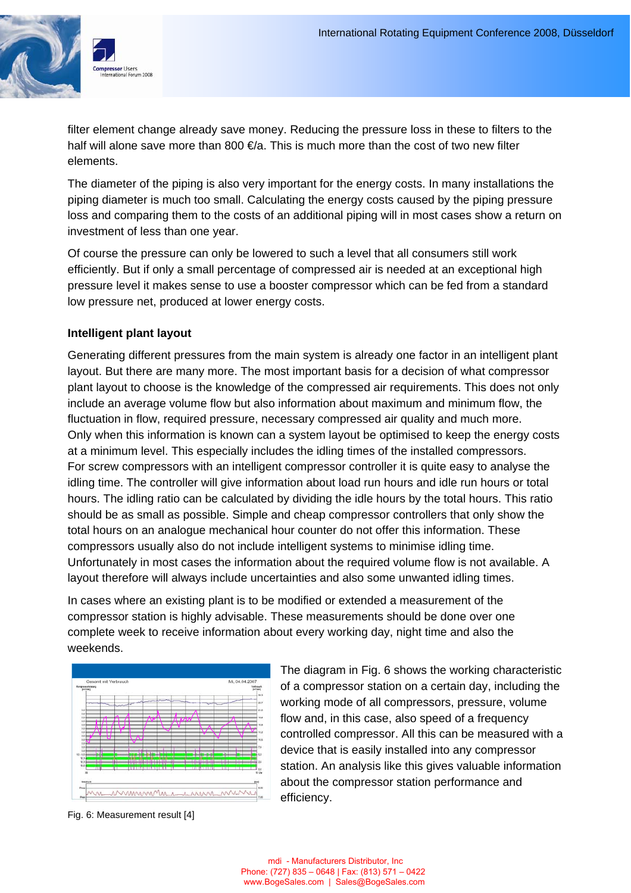

filter element change already save money. Reducing the pressure loss in these to filters to the half will alone save more than 800  $\epsilon/a$ . This is much more than the cost of two new filter elements.

The diameter of the piping is also very important for the energy costs. In many installations the piping diameter is much too small. Calculating the energy costs caused by the piping pressure loss and comparing them to the costs of an additional piping will in most cases show a return on investment of less than one year.

Of course the pressure can only be lowered to such a level that all consumers still work efficiently. But if only a small percentage of compressed air is needed at an exceptional high pressure level it makes sense to use a booster compressor which can be fed from a standard low pressure net, produced at lower energy costs.

#### **Intelligent plant layout**

Generating different pressures from the main system is already one factor in an intelligent plant layout. But there are many more. The most important basis for a decision of what compressor plant layout to choose is the knowledge of the compressed air requirements. This does not only include an average volume flow but also information about maximum and minimum flow, the fluctuation in flow, required pressure, necessary compressed air quality and much more. Only when this information is known can a system layout be optimised to keep the energy costs at a minimum level. This especially includes the idling times of the installed compressors. For screw compressors with an intelligent compressor controller it is quite easy to analyse the idling time. The controller will give information about load run hours and idle run hours or total hours. The idling ratio can be calculated by dividing the idle hours by the total hours. This ratio should be as small as possible. Simple and cheap compressor controllers that only show the total hours on an analogue mechanical hour counter do not offer this information. These compressors usually also do not include intelligent systems to minimise idling time. Unfortunately in most cases the information about the required volume flow is not available. A layout therefore will always include uncertainties and also some unwanted idling times.

In cases where an existing plant is to be modified or extended a measurement of the compressor station is highly advisable. These measurements should be done over one complete week to receive information about every working day, night time and also the weekends.



Fig. 6: Measurement result [4]

The diagram in Fig. 6 shows the working characteristic of a compressor station on a certain day, including the working mode of all compressors, pressure, volume flow and, in this case, also speed of a frequency controlled compressor. All this can be measured with a device that is easily installed into any compressor station. An analysis like this gives valuable information about the compressor station performance and efficiency.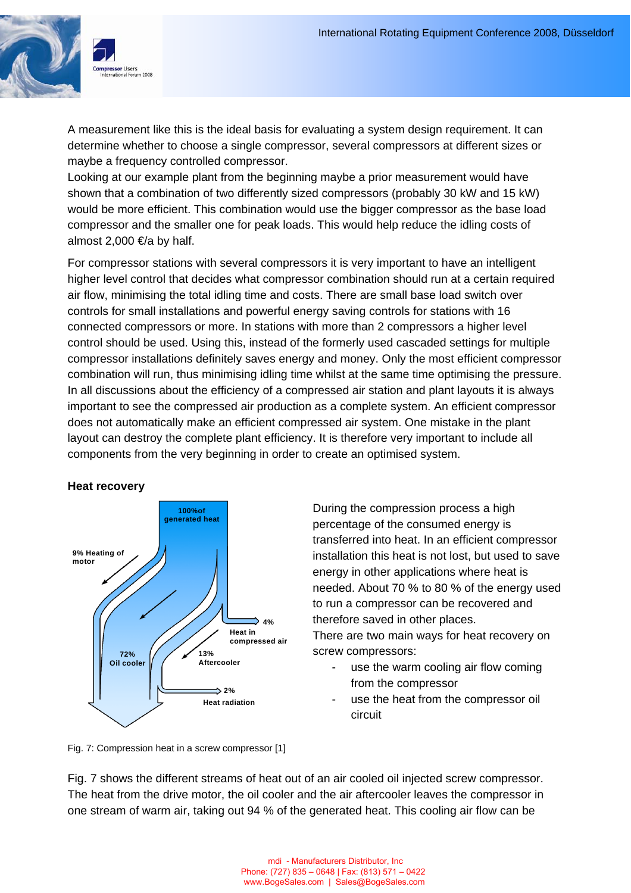

A measurement like this is the ideal basis for evaluating a system design requirement. It can determine whether to choose a single compressor, several compressors at different sizes or maybe a frequency controlled compressor.

Looking at our example plant from the beginning maybe a prior measurement would have shown that a combination of two differently sized compressors (probably 30 kW and 15 kW) would be more efficient. This combination would use the bigger compressor as the base load compressor and the smaller one for peak loads. This would help reduce the idling costs of almost 2,000  $\in$ /a by half.

For compressor stations with several compressors it is very important to have an intelligent higher level control that decides what compressor combination should run at a certain required air flow, minimising the total idling time and costs. There are small base load switch over controls for small installations and powerful energy saving controls for stations with 16 connected compressors or more. In stations with more than 2 compressors a higher level control should be used. Using this, instead of the formerly used cascaded settings for multiple compressor installations definitely saves energy and money. Only the most efficient compressor combination will run, thus minimising idling time whilst at the same time optimising the pressure. In all discussions about the efficiency of a compressed air station and plant layouts it is always important to see the compressed air production as a complete system. An efficient compressor does not automatically make an efficient compressed air system. One mistake in the plant layout can destroy the complete plant efficiency. It is therefore very important to include all components from the very beginning in order to create an optimised system.

#### **Heat recovery**



During the compression process a high percentage of the consumed energy is transferred into heat. In an efficient compressor installation this heat is not lost, but used to save energy in other applications where heat is needed. About 70 % to 80 % of the energy used to run a compressor can be recovered and therefore saved in other places. There are two main ways for heat recovery on

- screw compressors: use the warm cooling air flow coming
	- from the compressor
	- use the heat from the compressor oil circuit

Fig. 7: Compression heat in a screw compressor [1]

Fig. 7 shows the different streams of heat out of an air cooled oil injected screw compressor. The heat from the drive motor, the oil cooler and the air aftercooler leaves the compressor in one stream of warm air, taking out 94 % of the generated heat. This cooling air flow can be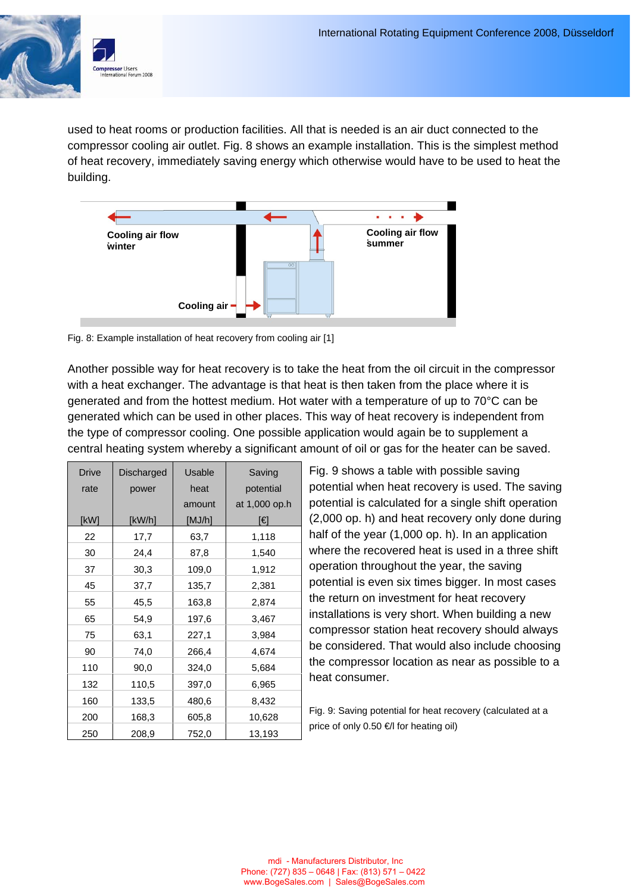

used to heat rooms or production facilities. All that is needed is an air duct connected to the compressor cooling air outlet. Fig. 8 shows an example installation. This is the simplest method of heat recovery, immediately saving energy which otherwise would have to be used to heat the building.



Fig. 8: Example installation of heat recovery from cooling air [1]

Another possible way for heat recovery is to take the heat from the oil circuit in the compressor with a heat exchanger. The advantage is that heat is then taken from the place where it is generated and from the hottest medium. Hot water with a temperature of up to 70°C can be generated which can be used in other places. This way of heat recovery is independent from the type of compressor cooling. One possible application would again be to supplement a central heating system whereby a significant amount of oil or gas for the heater can be saved.

| <b>Drive</b> | Discharged | Usable | Saving        |
|--------------|------------|--------|---------------|
| rate         | power      | heat   | potential     |
|              |            | amount | at 1,000 op.h |
| [kW]         | [kW/h]     | [MJ/h] | [€]           |
| 22           | 17,7       | 63,7   | 1,118         |
| 30           | 24,4       | 87,8   | 1,540         |
| 37           | 30,3       | 109,0  | 1,912         |
| 45           | 37,7       | 135,7  | 2,381         |
| 55           | 45,5       | 163,8  | 2,874         |
| 65           | 54,9       | 197,6  | 3,467         |
| 75           | 63,1       | 227,1  | 3,984         |
| 90           | 74,0       | 266,4  | 4,674         |
| 110          | 90,0       | 324,0  | 5,684         |
| 132          | 110,5      | 397,0  | 6,965         |
| 160          | 133,5      | 480,6  | 8,432         |
| 200          | 168,3      | 605,8  | 10,628        |
| 250          | 208,9      | 752,0  | 13,193        |

Fig. 9 shows a table with possible saving potential when heat recovery is used. The saving potential is calculated for a single shift operation (2,000 op. h) and heat recovery only done during half of the year (1,000 op. h). In an application where the recovered heat is used in a three shift operation throughout the year, the saving potential is even six times bigger. In most cases the return on investment for heat recovery installations is very short. When building a new compressor station heat recovery should always be considered. That would also include choosing the compressor location as near as possible to a heat consumer.

Fig. 9: Saving potential for heat recovery (calculated at a price of only 0.50 €/l for heating oil)